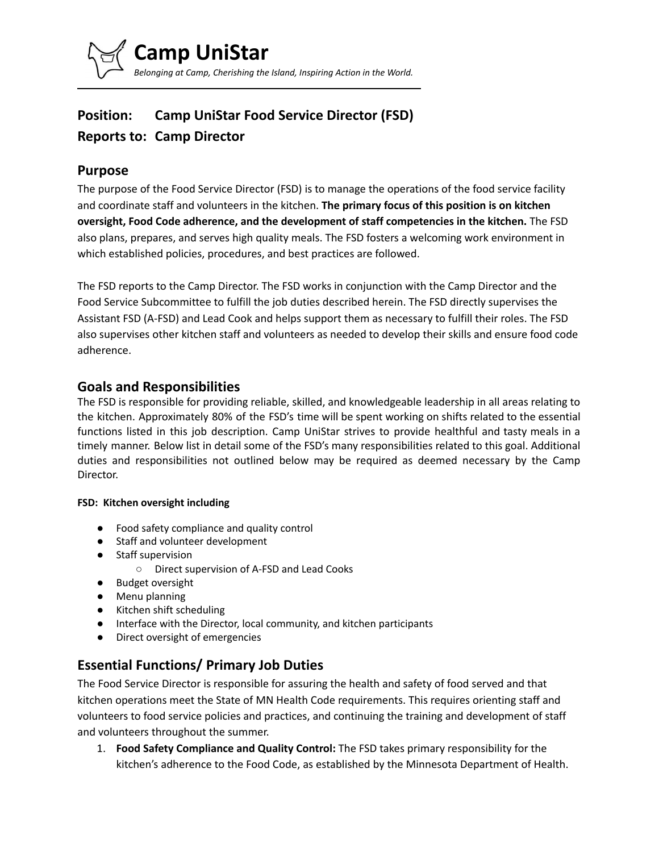

# **Position: Camp UniStar Food Service Director (FSD) Reports to: Camp Director**

### **Purpose**

The purpose of the Food Service Director (FSD) is to manage the operations of the food service facility and coordinate staff and volunteers in the kitchen. **The primary focus of this position is on kitchen oversight, Food Code adherence, and the development of staff competencies in the kitchen.** The FSD also plans, prepares, and serves high quality meals. The FSD fosters a welcoming work environment in which established policies, procedures, and best practices are followed.

The FSD reports to the Camp Director. The FSD works in conjunction with the Camp Director and the Food Service Subcommittee to fulfill the job duties described herein. The FSD directly supervises the Assistant FSD (A-FSD) and Lead Cook and helps support them as necessary to fulfill their roles. The FSD also supervises other kitchen staff and volunteers as needed to develop their skills and ensure food code adherence.

### **Goals and Responsibilities**

The FSD is responsible for providing reliable, skilled, and knowledgeable leadership in all areas relating to the kitchen. Approximately 80% of the FSD's time will be spent working on shifts related to the essential functions listed in this job description. Camp UniStar strives to provide healthful and tasty meals in a timely manner. Below list in detail some of the FSD's many responsibilities related to this goal. Additional duties and responsibilities not outlined below may be required as deemed necessary by the Camp Director.

#### **FSD: Kitchen oversight including**

- Food safety compliance and quality control
- Staff and volunteer development
- Staff supervision
	- Direct supervision of A-FSD and Lead Cooks
- Budget oversight
- Menu planning
- Kitchen shift scheduling
- Interface with the Director, local community, and kitchen participants
- Direct oversight of emergencies

# **Essential Functions/ Primary Job Duties**

The Food Service Director is responsible for assuring the health and safety of food served and that kitchen operations meet the State of MN Health Code requirements. This requires orienting staff and volunteers to food service policies and practices, and continuing the training and development of staff and volunteers throughout the summer.

1. **Food Safety Compliance and Quality Control:** The FSD takes primary responsibility for the kitchen's adherence to the Food Code, as established by the Minnesota Department of Health.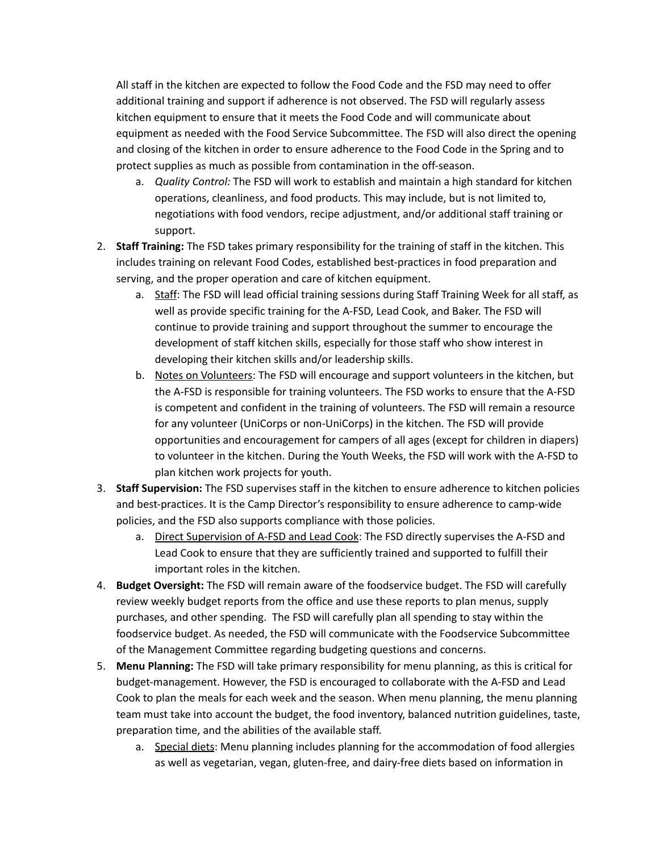All staff in the kitchen are expected to follow the Food Code and the FSD may need to offer additional training and support if adherence is not observed. The FSD will regularly assess kitchen equipment to ensure that it meets the Food Code and will communicate about equipment as needed with the Food Service Subcommittee. The FSD will also direct the opening and closing of the kitchen in order to ensure adherence to the Food Code in the Spring and to protect supplies as much as possible from contamination in the off-season.

- a. *Quality Control:* The FSD will work to establish and maintain a high standard for kitchen operations, cleanliness, and food products. This may include, but is not limited to, negotiations with food vendors, recipe adjustment, and/or additional staff training or support.
- 2. **Staff Training:** The FSD takes primary responsibility for the training of staff in the kitchen. This includes training on relevant Food Codes, established best-practices in food preparation and serving, and the proper operation and care of kitchen equipment.
	- a. Staff: The FSD will lead official training sessions during Staff Training Week for all staff, as well as provide specific training for the A-FSD, Lead Cook, and Baker. The FSD will continue to provide training and support throughout the summer to encourage the development of staff kitchen skills, especially for those staff who show interest in developing their kitchen skills and/or leadership skills.
	- b. Notes on Volunteers: The FSD will encourage and support volunteers in the kitchen, but the A-FSD is responsible for training volunteers. The FSD works to ensure that the A-FSD is competent and confident in the training of volunteers. The FSD will remain a resource for any volunteer (UniCorps or non-UniCorps) in the kitchen. The FSD will provide opportunities and encouragement for campers of all ages (except for children in diapers) to volunteer in the kitchen. During the Youth Weeks, the FSD will work with the A-FSD to plan kitchen work projects for youth.
- 3. **Staff Supervision:** The FSD supervises staff in the kitchen to ensure adherence to kitchen policies and best-practices. It is the Camp Director's responsibility to ensure adherence to camp-wide policies, and the FSD also supports compliance with those policies.
	- a. Direct Supervision of A-FSD and Lead Cook: The FSD directly supervises the A-FSD and Lead Cook to ensure that they are sufficiently trained and supported to fulfill their important roles in the kitchen.
- 4. **Budget Oversight:** The FSD will remain aware of the foodservice budget. The FSD will carefully review weekly budget reports from the office and use these reports to plan menus, supply purchases, and other spending. The FSD will carefully plan all spending to stay within the foodservice budget. As needed, the FSD will communicate with the Foodservice Subcommittee of the Management Committee regarding budgeting questions and concerns.
- 5. **Menu Planning:** The FSD will take primary responsibility for menu planning, as this is critical for budget-management. However, the FSD is encouraged to collaborate with the A-FSD and Lead Cook to plan the meals for each week and the season. When menu planning, the menu planning team must take into account the budget, the food inventory, balanced nutrition guidelines, taste, preparation time, and the abilities of the available staff.
	- a. Special diets: Menu planning includes planning for the accommodation of food allergies as well as vegetarian, vegan, gluten-free, and dairy-free diets based on information in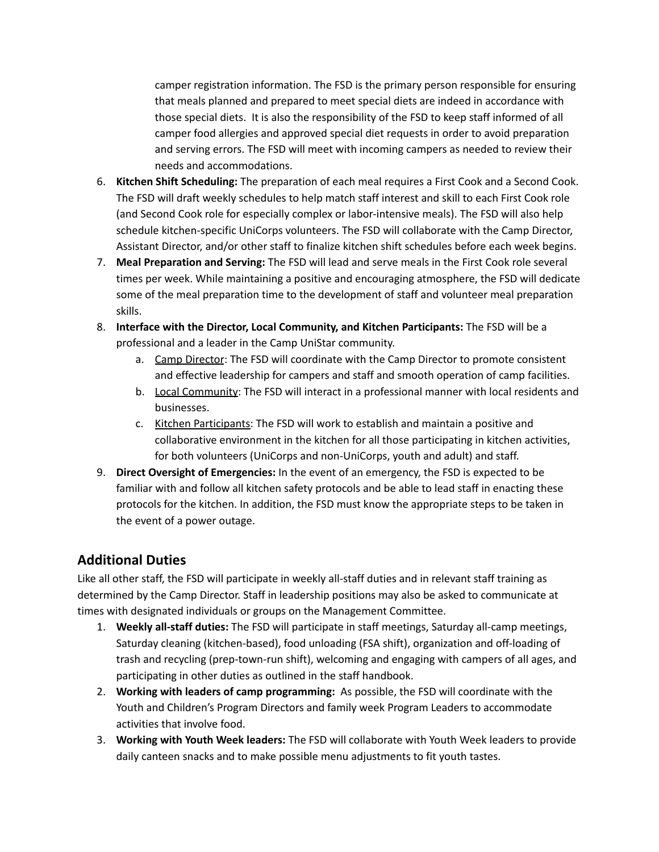camper registration information. The FSD is the primary person responsible for ensuring that meals planned and prepared to meet special diets are indeed in accordance with those special diets. It is also the responsibility of the FSD to keep staff informed of all camper food allergies and approved special diet requests in order to avoid preparation and serving errors. The FSD will meet with incoming campers as needed to review their needs and accommodations.

- 6. **Kitchen Shift Scheduling:** The preparation of each meal requires a First Cook and a Second Cook. The FSD will draft weekly schedules to help match staff interest and skill to each First Cook role (and Second Cook role for especially complex or labor-intensive meals). The FSD will also help schedule kitchen-specific UniCorps volunteers. The FSD will collaborate with the Camp Director, Assistant Director, and/or other staff to finalize kitchen shift schedules before each week begins.
- 7. **Meal Preparation and Serving:** The FSD will lead and serve meals in the First Cook role several times per week. While maintaining a positive and encouraging atmosphere, the FSD will dedicate some of the meal preparation time to the development of staff and volunteer meal preparation skills.
- 8. **Interface with the Director, Local Community, and Kitchen Participants:** The FSD will be a professional and a leader in the Camp UniStar community.
	- a. Camp Director: The FSD will coordinate with the Camp Director to promote consistent and effective leadership for campers and staff and smooth operation of camp facilities.
	- b. Local Community: The FSD will interact in a professional manner with local residents and businesses.
	- c. Kitchen Participants: The FSD will work to establish and maintain a positive and collaborative environment in the kitchen for all those participating in kitchen activities, for both volunteers (UniCorps and non-UniCorps, youth and adult) and staff.
- 9. **Direct Oversight of Emergencies:** In the event of an emergency, the FSD is expected to be familiar with and follow all kitchen safety protocols and be able to lead staff in enacting these protocols for the kitchen. In addition, the FSD must know the appropriate steps to be taken in the event of a power outage.

### **Additional Duties**

Like all other staff, the FSD will participate in weekly all-staff duties and in relevant staff training as determined by the Camp Director. Staff in leadership positions may also be asked to communicate at times with designated individuals or groups on the Management Committee.

- 1. **Weekly all-staff duties:** The FSD will participate in staff meetings, Saturday all-camp meetings, Saturday cleaning (kitchen-based), food unloading (FSA shift), organization and off-loading of trash and recycling (prep-town-run shift), welcoming and engaging with campers of all ages, and participating in other duties as outlined in the staff handbook.
- 2. **Working with leaders of camp programming:** As possible, the FSD will coordinate with the Youth and Children's Program Directors and family week Program Leaders to accommodate activities that involve food.
- 3. **Working with Youth Week leaders:** The FSD will collaborate with Youth Week leaders to provide daily canteen snacks and to make possible menu adjustments to fit youth tastes.